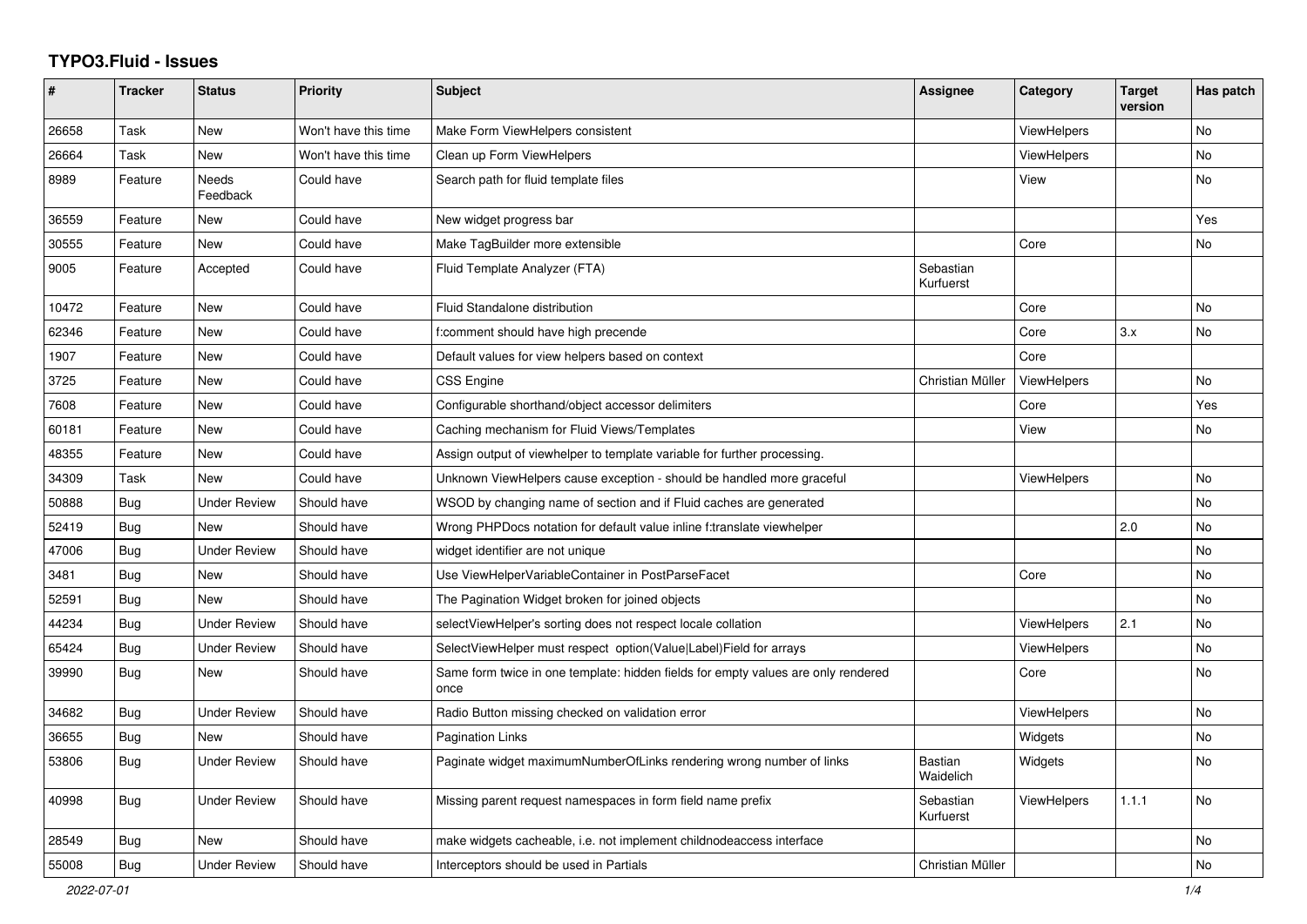## **TYPO3.Fluid - Issues**

| #     | <b>Tracker</b> | <b>Status</b>       | <b>Priority</b>      | <b>Subject</b>                                                                            | Assignee               | Category           | <b>Target</b><br>version | Has patch      |
|-------|----------------|---------------------|----------------------|-------------------------------------------------------------------------------------------|------------------------|--------------------|--------------------------|----------------|
| 26658 | Task           | New                 | Won't have this time | Make Form ViewHelpers consistent                                                          |                        | ViewHelpers        |                          | <b>No</b>      |
| 26664 | Task           | New                 | Won't have this time | Clean up Form ViewHelpers                                                                 |                        | ViewHelpers        |                          | No             |
| 8989  | Feature        | Needs<br>Feedback   | Could have           | Search path for fluid template files                                                      |                        | View               |                          | No             |
| 36559 | Feature        | <b>New</b>          | Could have           | New widget progress bar                                                                   |                        |                    |                          | Yes            |
| 30555 | Feature        | New                 | Could have           | Make TagBuilder more extensible                                                           |                        | Core               |                          | No             |
| 9005  | Feature        | Accepted            | Could have           | Fluid Template Analyzer (FTA)                                                             | Sebastian<br>Kurfuerst |                    |                          |                |
| 10472 | Feature        | <b>New</b>          | Could have           | Fluid Standalone distribution                                                             |                        | Core               |                          | <b>No</b>      |
| 62346 | Feature        | New                 | Could have           | f:comment should have high precende                                                       |                        | Core               | 3.x                      | No             |
| 1907  | Feature        | New                 | Could have           | Default values for view helpers based on context                                          |                        | Core               |                          |                |
| 3725  | Feature        | New                 | Could have           | CSS Engine                                                                                | Christian Müller       | <b>ViewHelpers</b> |                          | <b>No</b>      |
| 7608  | Feature        | New                 | Could have           | Configurable shorthand/object accessor delimiters                                         |                        | Core               |                          | Yes            |
| 60181 | Feature        | New                 | Could have           | Caching mechanism for Fluid Views/Templates                                               |                        | View               |                          | <b>No</b>      |
| 48355 | Feature        | New                 | Could have           | Assign output of viewhelper to template variable for further processing.                  |                        |                    |                          |                |
| 34309 | Task           | <b>New</b>          | Could have           | Unknown ViewHelpers cause exception - should be handled more graceful                     |                        | <b>ViewHelpers</b> |                          | No             |
| 50888 | <b>Bug</b>     | <b>Under Review</b> | Should have          | WSOD by changing name of section and if Fluid caches are generated                        |                        |                    |                          | <b>No</b>      |
| 52419 | <b>Bug</b>     | <b>New</b>          | Should have          | Wrong PHPDocs notation for default value inline f:translate viewhelper                    |                        |                    | 2.0                      | <b>No</b>      |
| 47006 | Bug            | <b>Under Review</b> | Should have          | widget identifier are not unique                                                          |                        |                    |                          | No             |
| 3481  | Bug            | New                 | Should have          | Use ViewHelperVariableContainer in PostParseFacet                                         |                        | Core               |                          | No             |
| 52591 | <b>Bug</b>     | <b>New</b>          | Should have          | The Pagination Widget broken for joined objects                                           |                        |                    |                          | No             |
| 44234 | Bug            | <b>Under Review</b> | Should have          | selectViewHelper's sorting does not respect locale collation                              |                        | <b>ViewHelpers</b> | 2.1                      | <b>No</b>      |
| 65424 | <b>Bug</b>     | Under Review        | Should have          | SelectViewHelper must respect option(Value Label)Field for arrays                         |                        | <b>ViewHelpers</b> |                          | <b>No</b>      |
| 39990 | Bug            | New                 | Should have          | Same form twice in one template: hidden fields for empty values are only rendered<br>once |                        | Core               |                          | N <sub>o</sub> |
| 34682 | Bug            | <b>Under Review</b> | Should have          | Radio Button missing checked on validation error                                          |                        | <b>ViewHelpers</b> |                          | <b>No</b>      |
| 36655 | <b>Bug</b>     | New                 | Should have          | <b>Pagination Links</b>                                                                   |                        | Widgets            |                          | <b>No</b>      |
| 53806 | Bug            | <b>Under Review</b> | Should have          | Paginate widget maximumNumberOfLinks rendering wrong number of links                      | Bastian<br>Waidelich   | Widgets            |                          | No             |
| 40998 | <b>Bug</b>     | Under Review        | Should have          | Missing parent request namespaces in form field name prefix                               | Sebastian<br>Kurfuerst | <b>ViewHelpers</b> | 1.1.1                    | <b>No</b>      |
| 28549 | <b>Bug</b>     | New                 | Should have          | make widgets cacheable, i.e. not implement childnodeaccess interface                      |                        |                    |                          | <b>No</b>      |
| 55008 | Bug            | <b>Under Review</b> | Should have          | Interceptors should be used in Partials                                                   | Christian Müller       |                    |                          | No             |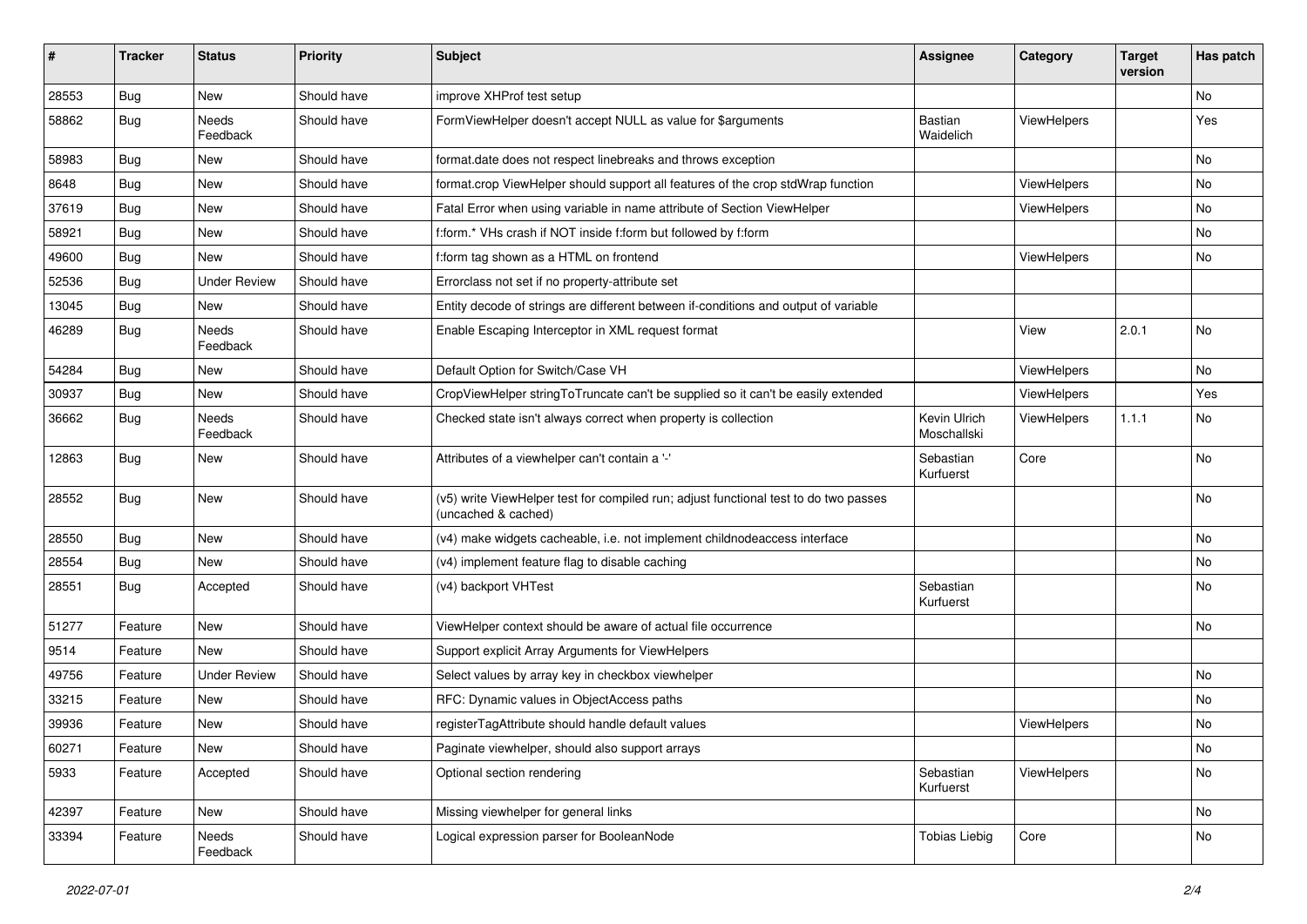| #     | <b>Tracker</b> | <b>Status</b>            | <b>Priority</b> | <b>Subject</b>                                                                                              | <b>Assignee</b>             | Category           | <b>Target</b><br>version | Has patch |
|-------|----------------|--------------------------|-----------------|-------------------------------------------------------------------------------------------------------------|-----------------------------|--------------------|--------------------------|-----------|
| 28553 | Bug            | New                      | Should have     | improve XHProf test setup                                                                                   |                             |                    |                          | No        |
| 58862 | <b>Bug</b>     | <b>Needs</b><br>Feedback | Should have     | FormViewHelper doesn't accept NULL as value for \$arguments                                                 | Bastian<br>Waidelich        | ViewHelpers        |                          | Yes       |
| 58983 | Bug            | New                      | Should have     | format.date does not respect linebreaks and throws exception                                                |                             |                    |                          | No        |
| 8648  | Bug            | New                      | Should have     | format.crop ViewHelper should support all features of the crop stdWrap function                             |                             | <b>ViewHelpers</b> |                          | No        |
| 37619 | Bug            | <b>New</b>               | Should have     | Fatal Error when using variable in name attribute of Section ViewHelper                                     |                             | ViewHelpers        |                          | No.       |
| 58921 | <b>Bug</b>     | New                      | Should have     | f:form.* VHs crash if NOT inside f:form but followed by f:form                                              |                             |                    |                          | No        |
| 49600 | Bug            | New                      | Should have     | f:form tag shown as a HTML on frontend                                                                      |                             | ViewHelpers        |                          | No        |
| 52536 | Bug            | <b>Under Review</b>      | Should have     | Errorclass not set if no property-attribute set                                                             |                             |                    |                          |           |
| 13045 | <b>Bug</b>     | New                      | Should have     | Entity decode of strings are different between if-conditions and output of variable                         |                             |                    |                          |           |
| 46289 | Bug            | <b>Needs</b><br>Feedback | Should have     | Enable Escaping Interceptor in XML request format                                                           |                             | View               | 2.0.1                    | No        |
| 54284 | Bug            | New                      | Should have     | Default Option for Switch/Case VH                                                                           |                             | ViewHelpers        |                          | No        |
| 30937 | Bug            | <b>New</b>               | Should have     | CropViewHelper stringToTruncate can't be supplied so it can't be easily extended                            |                             | ViewHelpers        |                          | Yes       |
| 36662 | Bug            | Needs<br>Feedback        | Should have     | Checked state isn't always correct when property is collection                                              | Kevin Ulrich<br>Moschallski | ViewHelpers        | 1.1.1                    | No        |
| 12863 | Bug            | New                      | Should have     | Attributes of a viewhelper can't contain a '-'                                                              | Sebastian<br>Kurfuerst      | Core               |                          | No        |
| 28552 | Bug            | New                      | Should have     | (v5) write ViewHelper test for compiled run; adjust functional test to do two passes<br>(uncached & cached) |                             |                    |                          | No        |
| 28550 | Bug            | New                      | Should have     | (v4) make widgets cacheable, i.e. not implement childnodeaccess interface                                   |                             |                    |                          | No        |
| 28554 | Bug            | <b>New</b>               | Should have     | (v4) implement feature flag to disable caching                                                              |                             |                    |                          | No.       |
| 28551 | Bug            | Accepted                 | Should have     | (v4) backport VHTest                                                                                        | Sebastian<br>Kurfuerst      |                    |                          | No        |
| 51277 | Feature        | New                      | Should have     | ViewHelper context should be aware of actual file occurrence                                                |                             |                    |                          | No        |
| 9514  | Feature        | New                      | Should have     | Support explicit Array Arguments for ViewHelpers                                                            |                             |                    |                          |           |
| 49756 | Feature        | <b>Under Review</b>      | Should have     | Select values by array key in checkbox viewhelper                                                           |                             |                    |                          | No        |
| 33215 | Feature        | New                      | Should have     | RFC: Dynamic values in ObjectAccess paths                                                                   |                             |                    |                          | No        |
| 39936 | Feature        | New                      | Should have     | registerTagAttribute should handle default values                                                           |                             | ViewHelpers        |                          | No        |
| 60271 | Feature        | New                      | Should have     | Paginate viewhelper, should also support arrays                                                             |                             |                    |                          | No        |
| 5933  | Feature        | Accepted                 | Should have     | Optional section rendering                                                                                  | Sebastian<br>Kurfuerst      | ViewHelpers        |                          | No        |
| 42397 | Feature        | New                      | Should have     | Missing viewhelper for general links                                                                        |                             |                    |                          | No        |
| 33394 | Feature        | Needs<br>Feedback        | Should have     | Logical expression parser for BooleanNode                                                                   | <b>Tobias Liebig</b>        | Core               |                          | No        |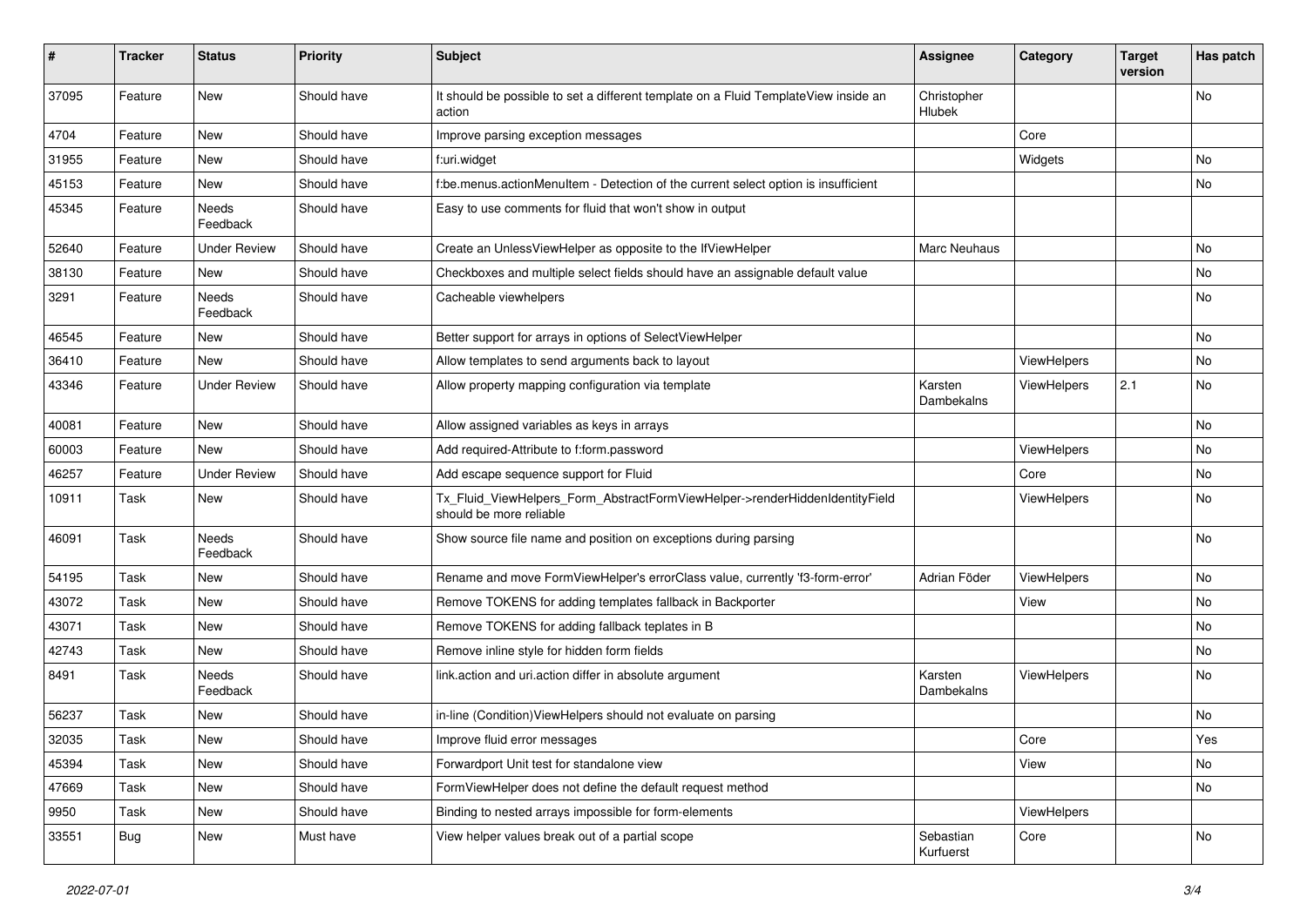| #     | <b>Tracker</b> | <b>Status</b>            | <b>Priority</b> | <b>Subject</b>                                                                                         | <b>Assignee</b>        | Category    | <b>Target</b><br>version | Has patch |
|-------|----------------|--------------------------|-----------------|--------------------------------------------------------------------------------------------------------|------------------------|-------------|--------------------------|-----------|
| 37095 | Feature        | New                      | Should have     | It should be possible to set a different template on a Fluid TemplateView inside an<br>action          | Christopher<br>Hlubek  |             |                          | No        |
| 4704  | Feature        | New                      | Should have     | Improve parsing exception messages                                                                     |                        | Core        |                          |           |
| 31955 | Feature        | New                      | Should have     | f:uri.widget                                                                                           |                        | Widgets     |                          | No        |
| 45153 | Feature        | New                      | Should have     | f:be.menus.actionMenuItem - Detection of the current select option is insufficient                     |                        |             |                          | No        |
| 45345 | Feature        | <b>Needs</b><br>Feedback | Should have     | Easy to use comments for fluid that won't show in output                                               |                        |             |                          |           |
| 52640 | Feature        | <b>Under Review</b>      | Should have     | Create an UnlessViewHelper as opposite to the IfViewHelper                                             | <b>Marc Neuhaus</b>    |             |                          | No        |
| 38130 | Feature        | New                      | Should have     | Checkboxes and multiple select fields should have an assignable default value                          |                        |             |                          | No        |
| 3291  | Feature        | Needs<br>Feedback        | Should have     | Cacheable viewhelpers                                                                                  |                        |             |                          | No        |
| 46545 | Feature        | New                      | Should have     | Better support for arrays in options of SelectViewHelper                                               |                        |             |                          | No        |
| 36410 | Feature        | New                      | Should have     | Allow templates to send arguments back to layout                                                       |                        | ViewHelpers |                          | No        |
| 43346 | Feature        | <b>Under Review</b>      | Should have     | Allow property mapping configuration via template                                                      | Karsten<br>Dambekalns  | ViewHelpers | 2.1                      | No        |
| 40081 | Feature        | New                      | Should have     | Allow assigned variables as keys in arrays                                                             |                        |             |                          | No        |
| 60003 | Feature        | New                      | Should have     | Add required-Attribute to f:form.password                                                              |                        | ViewHelpers |                          | No        |
| 46257 | Feature        | <b>Under Review</b>      | Should have     | Add escape sequence support for Fluid                                                                  |                        | Core        |                          | No        |
| 10911 | Task           | New                      | Should have     | Tx_Fluid_ViewHelpers_Form_AbstractFormViewHelper->renderHiddenIdentityField<br>should be more reliable |                        | ViewHelpers |                          | No        |
| 46091 | Task           | Needs<br>Feedback        | Should have     | Show source file name and position on exceptions during parsing                                        |                        |             |                          | No        |
| 54195 | Task           | New                      | Should have     | Rename and move FormViewHelper's errorClass value, currently 'f3-form-error'                           | Adrian Föder           | ViewHelpers |                          | No        |
| 43072 | Task           | New                      | Should have     | Remove TOKENS for adding templates fallback in Backporter                                              |                        | View        |                          | No        |
| 43071 | Task           | New                      | Should have     | Remove TOKENS for adding fallback teplates in B                                                        |                        |             |                          | No        |
| 42743 | Task           | New                      | Should have     | Remove inline style for hidden form fields                                                             |                        |             |                          | No        |
| 8491  | Task           | Needs<br>Feedback        | Should have     | link.action and uri.action differ in absolute argument                                                 | Karsten<br>Dambekalns  | ViewHelpers |                          | No        |
| 56237 | Task           | New                      | Should have     | in-line (Condition) View Helpers should not evaluate on parsing                                        |                        |             |                          | No        |
| 32035 | Task           | New                      | Should have     | Improve fluid error messages                                                                           |                        | Core        |                          | Yes       |
| 45394 | Task           | New                      | Should have     | Forwardport Unit test for standalone view                                                              |                        | View        |                          | No        |
| 47669 | Task           | New                      | Should have     | FormViewHelper does not define the default request method                                              |                        |             |                          | No        |
| 9950  | Task           | New                      | Should have     | Binding to nested arrays impossible for form-elements                                                  |                        | ViewHelpers |                          |           |
| 33551 | <b>Bug</b>     | New                      | Must have       | View helper values break out of a partial scope                                                        | Sebastian<br>Kurfuerst | Core        |                          | No        |